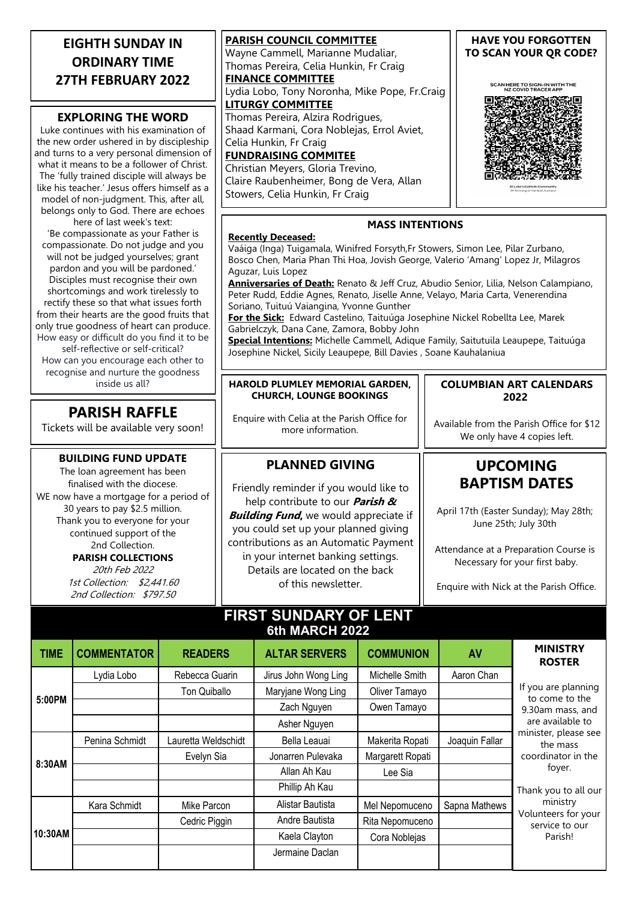| <b>EIGHTH SUNDAY IN</b><br><b>ORDINARY TIME</b><br><b>27TH FEBRUARY 2022</b><br><b>EXPLORING THE WORD</b><br>Luke continues with his examination of<br>the new order ushered in by discipleship<br>and turns to a very personal dimension of<br>what it means to be a follower of Christ.<br>The 'fully trained disciple will always be<br>like his teacher.' Jesus offers himself as a                                                                                                                                                                                | <b>PARISH COUNCIL COMMITTEE</b><br>Wayne Cammell, Marianne Mudaliar,<br>Thomas Pereira, Celia Hunkin, Fr Craig<br><b>FINANCE COMMITTEE</b><br>Lydia Lobo, Tony Noronha, Mike Pope, Fr.Craig<br><b>LITURGY COMMITTEE</b><br>Thomas Pereira, Alzira Rodrigues,<br>Shaad Karmani, Cora Noblejas, Errol Aviet,<br>Celia Hunkin, Fr Craig<br><b>FUNDRAISING COMMITEE</b><br>Christian Meyers, Gloria Trevino,<br>Claire Raubenheimer, Bong de Vera, Allan<br>Stowers, Celia Hunkin, Fr Craig                                                                                                                                                                                                                                                                              | <b>HAVE YOU FORGOTTEN</b><br>TO SCAN YOUR OR CODE?<br>SCAN HERE TO SIGN-IN WITH THE<br><b>NZ COVID TRACER APP</b>                                                                                                              |  |  |
|------------------------------------------------------------------------------------------------------------------------------------------------------------------------------------------------------------------------------------------------------------------------------------------------------------------------------------------------------------------------------------------------------------------------------------------------------------------------------------------------------------------------------------------------------------------------|----------------------------------------------------------------------------------------------------------------------------------------------------------------------------------------------------------------------------------------------------------------------------------------------------------------------------------------------------------------------------------------------------------------------------------------------------------------------------------------------------------------------------------------------------------------------------------------------------------------------------------------------------------------------------------------------------------------------------------------------------------------------|--------------------------------------------------------------------------------------------------------------------------------------------------------------------------------------------------------------------------------|--|--|
| model of non-judgment. This, after all,<br>belongs only to God. There are echoes                                                                                                                                                                                                                                                                                                                                                                                                                                                                                       |                                                                                                                                                                                                                                                                                                                                                                                                                                                                                                                                                                                                                                                                                                                                                                      |                                                                                                                                                                                                                                |  |  |
| here of last week's text:<br>'Be compassionate as your Father is<br>compassionate. Do not judge and you<br>will not be judged yourselves; grant<br>pardon and you will be pardoned.'<br>Disciples must recognise their own<br>shortcomings and work tirelessly to<br>rectify these so that what issues forth<br>from their hearts are the good fruits that<br>only true goodness of heart can produce.<br>How easy or difficult do you find it to be<br>self-reflective or self-critical?<br>How can you encourage each other to<br>recognise and nurture the goodness | <b>MASS INTENTIONS</b><br><b>Recently Deceased:</b><br>Vaáiga (Inga) Tuigamala, Winifred Forsyth, Fr Stowers, Simon Lee, Pilar Zurbano,<br>Bosco Chen, Maria Phan Thi Hoa, Jovish George, Valerio 'Amang' Lopez Jr, Milagros<br>Aguzar, Luis Lopez<br>Anniversaries of Death: Renato & Jeff Cruz, Abudio Senior, Lilia, Nelson Calampiano,<br>Peter Rudd, Eddie Agnes, Renato, Jiselle Anne, Velayo, Maria Carta, Venerendina<br>Soriano, Tuituú Vaiangina, Yvonne Gunther<br>For the Sick: Edward Castelino, Taituúga Josephine Nickel Robellta Lee, Marek<br>Gabrielczyk, Dana Cane, Zamora, Bobby John<br>Special Intentions: Michelle Cammell, Adique Family, Saitutuila Leaupepe, Taituúga<br>Josephine Nickel, Sicily Leaupepe, Bill Davies, Soane Kauhalaniua |                                                                                                                                                                                                                                |  |  |
| inside us all?                                                                                                                                                                                                                                                                                                                                                                                                                                                                                                                                                         | HAROLD PLUMLEY MEMORIAL GARDEN,                                                                                                                                                                                                                                                                                                                                                                                                                                                                                                                                                                                                                                                                                                                                      | <b>COLUMBIAN ART CALENDARS</b>                                                                                                                                                                                                 |  |  |
| <b>PARISH RAFFLE</b><br>Tickets will be available very soon!                                                                                                                                                                                                                                                                                                                                                                                                                                                                                                           | <b>CHURCH, LOUNGE BOOKINGS</b><br>Enquire with Celia at the Parish Office for<br>more information.                                                                                                                                                                                                                                                                                                                                                                                                                                                                                                                                                                                                                                                                   | 2022<br>Available from the Parish Office for \$12<br>We only have 4 copies left.                                                                                                                                               |  |  |
| <b>BUILDING FUND UPDATE</b><br>The loan agreement has been<br>finalised with the diocese.<br>WE now have a mortgage for a period of<br>30 years to pay \$2.5 million.<br>Thank you to everyone for your<br>continued support of the<br>2nd Collection.<br><b>PARISH COLLECTIONS</b><br>20th Feb 2022<br>1st Collection: \$2,441.60<br>2nd Collection: \$797.50                                                                                                                                                                                                         | <b>PLANNED GIVING</b><br>Friendly reminder if you would like to<br>help contribute to our <i>Parish &amp;</i><br><b>Building Fund, we would appreciate if</b><br>you could set up your planned giving<br>contributions as an Automatic Payment<br>in your internet banking settings.<br>Details are located on the back<br>of this newsletter.                                                                                                                                                                                                                                                                                                                                                                                                                       | <b>UPCOMING</b><br><b>BAPTISM DATES</b><br>April 17th (Easter Sunday); May 28th;<br>June 25th; July 30th<br>Attendance at a Preparation Course is<br>Necessary for your first baby.<br>Enquire with Nick at the Parish Office. |  |  |

### **FIRST SUNDARY OF LENT 6th MARCH 2022**

| <b>TIME</b> | <b>COMMENTATOR</b> | <b>READERS</b>      | <b>ALTAR SERVERS</b> | <b>COMMUNION</b> | AV             | <b>MINISTRY</b><br><b>ROSTER</b>                                                                                                                                                                                                          |
|-------------|--------------------|---------------------|----------------------|------------------|----------------|-------------------------------------------------------------------------------------------------------------------------------------------------------------------------------------------------------------------------------------------|
| 5:00PM      | Lydia Lobo         | Rebecca Guarin      | Jirus John Wong Ling | Michelle Smith   | Aaron Chan     | If you are planning<br>to come to the<br>9.30am mass, and<br>are available to<br>minister, please see<br>the mass<br>coordinator in the<br>foyer.<br>Thank you to all our<br>ministry<br>Volunteers for your<br>service to our<br>Parish! |
|             |                    | Ton Quiballo        | Maryjane Wong Ling   | Oliver Tamayo    |                |                                                                                                                                                                                                                                           |
|             |                    |                     | Zach Nguyen          | Owen Tamayo      |                |                                                                                                                                                                                                                                           |
|             |                    |                     | Asher Nguyen         |                  |                |                                                                                                                                                                                                                                           |
| 8:30AM      | Penina Schmidt     | Lauretta Weldschidt | Bella Leauai         | Makerita Ropati  | Joaquin Fallar |                                                                                                                                                                                                                                           |
|             |                    | Evelyn Sia          | Jonarren Pulevaka    | Margarett Ropati |                |                                                                                                                                                                                                                                           |
|             |                    |                     | Allan Ah Kau         | Lee Sia          |                |                                                                                                                                                                                                                                           |
|             |                    |                     | Phillip Ah Kau       |                  |                |                                                                                                                                                                                                                                           |
| 10:30AM     | Kara Schmidt       | Mike Parcon         | Alistar Bautista     | Mel Nepomuceno   | Sapna Mathews  |                                                                                                                                                                                                                                           |
|             |                    | Cedric Piggin       | Andre Bautista       | Rita Nepomuceno  |                |                                                                                                                                                                                                                                           |
|             |                    |                     | Kaela Clayton        | Cora Noblejas    |                |                                                                                                                                                                                                                                           |
|             |                    |                     | Jermaine Daclan      |                  |                |                                                                                                                                                                                                                                           |